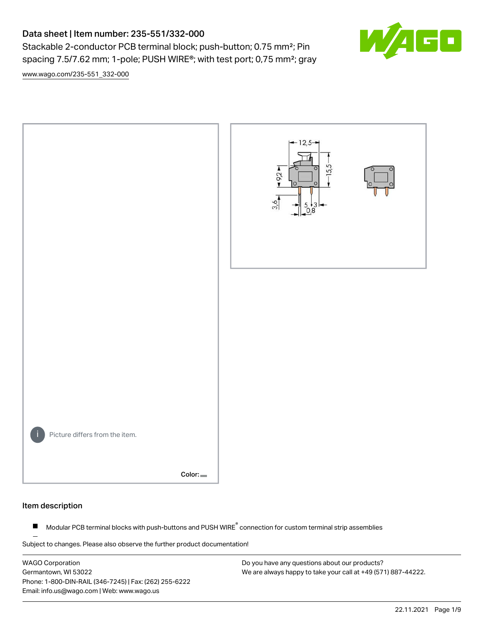# Data sheet | Item number: 235-551/332-000

Stackable 2-conductor PCB terminal block; push-button; 0.75 mm<sup>2</sup>; Pin spacing 7.5/7.62 mm; 1-pole; PUSH WIRE®; with test port; 0,75 mm²; gray

[www.wago.com/235-551\\_332-000](http://www.wago.com/235-551_332-000)



# Item description

Modular PCB terminal blocks with push-buttons and PUSH WIRE<sup>®</sup> connection for custom terminal strip assemblies  $\blacksquare$ 

Subject to changes. Please also observe the further product documentation!

WAGO Corporation Germantown, WI 53022 Phone: 1-800-DIN-RAIL (346-7245) | Fax: (262) 255-6222 Email: info.us@wago.com | Web: www.wago.us

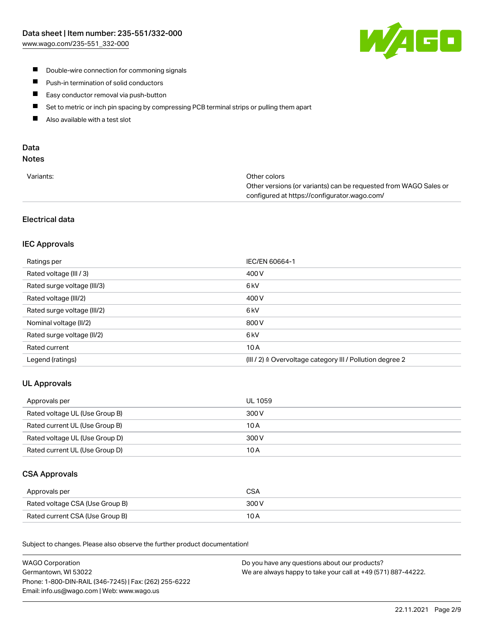

- **Double-wire connection for commoning signals**
- $\blacksquare$ Push-in termination of solid conductors
- Easy conductor removal via push-button  $\blacksquare$
- $\blacksquare$ Set to metric or inch pin spacing by compressing PCB terminal strips or pulling them apart
- $\blacksquare$ Also available with a test slot

# Data

# Notes

| Variants: | Other colors                                                     |
|-----------|------------------------------------------------------------------|
|           | Other versions (or variants) can be requested from WAGO Sales or |
|           | configured at https://configurator.wago.com/                     |

# Electrical data

# IEC Approvals

| Ratings per                 | IEC/EN 60664-1                                                       |
|-----------------------------|----------------------------------------------------------------------|
| Rated voltage (III / 3)     | 400 V                                                                |
| Rated surge voltage (III/3) | 6 <sub>kV</sub>                                                      |
| Rated voltage (III/2)       | 400 V                                                                |
| Rated surge voltage (III/2) | 6 <sub>kV</sub>                                                      |
| Nominal voltage (II/2)      | 800 V                                                                |
| Rated surge voltage (II/2)  | 6 <sub>kV</sub>                                                      |
| Rated current               | 10A                                                                  |
| Legend (ratings)            | (III / 2) $\triangleq$ Overvoltage category III / Pollution degree 2 |

# UL Approvals

| Approvals per                  | UL 1059 |
|--------------------------------|---------|
| Rated voltage UL (Use Group B) | 300 V   |
| Rated current UL (Use Group B) | 10 A    |
| Rated voltage UL (Use Group D) | 300 V   |
| Rated current UL (Use Group D) | 10 A    |

# CSA Approvals

| Approvals per                   | CSA   |
|---------------------------------|-------|
| Rated voltage CSA (Use Group B) | 300 V |
| Rated current CSA (Use Group B) | 10 A  |

.<br>Subject to changes. Please also observe the further product documentation!

| <b>WAGO Corporation</b>                                | Do you have any questions about our products?                 |
|--------------------------------------------------------|---------------------------------------------------------------|
| Germantown, WI 53022                                   | We are always happy to take your call at +49 (571) 887-44222. |
| Phone: 1-800-DIN-RAIL (346-7245)   Fax: (262) 255-6222 |                                                               |
| Email: info.us@wago.com   Web: www.wago.us             |                                                               |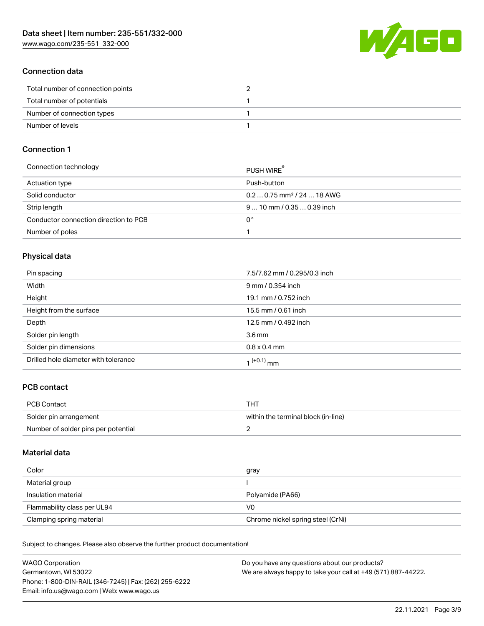W/4GO

# Connection data

| Total number of connection points |  |
|-----------------------------------|--|
| Total number of potentials        |  |
| Number of connection types        |  |
| Number of levels                  |  |

# Connection 1

| Connection technology                 | PUSH WIRE                              |
|---------------------------------------|----------------------------------------|
| Actuation type                        | Push-button                            |
| Solid conductor                       | $0.20.75$ mm <sup>2</sup> / 24  18 AWG |
| Strip length                          | $910$ mm $/0.350.39$ inch              |
| Conductor connection direction to PCB | n°                                     |
| Number of poles                       |                                        |

# Physical data

| Pin spacing                          | 7.5/7.62 mm / 0.295/0.3 inch |
|--------------------------------------|------------------------------|
| Width                                | 9 mm / 0.354 inch            |
| Height                               | 19.1 mm / 0.752 inch         |
| Height from the surface              | 15.5 mm / 0.61 inch          |
| Depth                                | 12.5 mm / 0.492 inch         |
| Solder pin length                    | 3.6 <sub>mm</sub>            |
| Solder pin dimensions                | $0.8 \times 0.4$ mm          |
| Drilled hole diameter with tolerance | 1 <sup>(+0.1)</sup> mm       |

# PCB contact

| <b>PCB Contact</b>                  | THT                                 |
|-------------------------------------|-------------------------------------|
| Solder pin arrangement              | within the terminal block (in-line) |
| Number of solder pins per potential |                                     |

### Material data

| Color                       | gray                              |
|-----------------------------|-----------------------------------|
| Material group              |                                   |
| Insulation material         | Polyamide (PA66)                  |
| Flammability class per UL94 | V0                                |
| Clamping spring material    | Chrome nickel spring steel (CrNi) |

Subject to changes. Please also observe the further product documentation!

| <b>WAGO Corporation</b>                                | Do you have any questions about our products?                 |
|--------------------------------------------------------|---------------------------------------------------------------|
| Germantown, WI 53022                                   | We are always happy to take your call at +49 (571) 887-44222. |
| Phone: 1-800-DIN-RAIL (346-7245)   Fax: (262) 255-6222 |                                                               |
| Email: info.us@wago.com   Web: www.wago.us             |                                                               |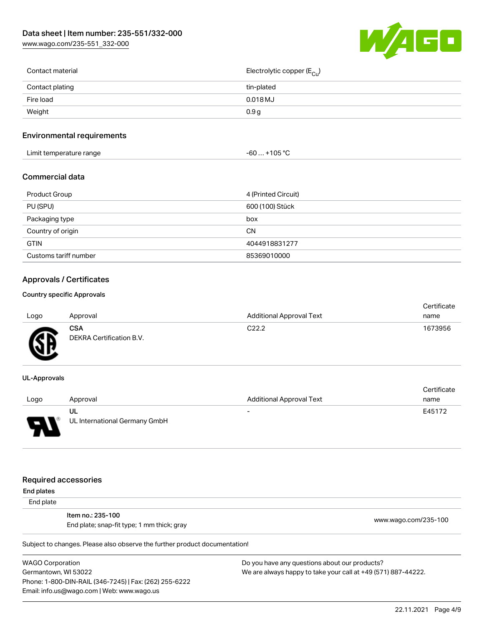[www.wago.com/235-551\\_332-000](http://www.wago.com/235-551_332-000)



| Contact material | Electrolytic copper (E <sub>Cu</sub> ) |
|------------------|----------------------------------------|
| Contact plating  | tin-plated                             |
| Fire load        | $0.018$ MJ                             |
| Weight           | 0.9 <sub>g</sub>                       |
|                  |                                        |

# Environmental requirements

| Limit temperature range<br>. .<br><u>a serie de la construcción de la construcción de la construcción de la construcción de la construcción de la c</u> | ∙105 °C<br>-60<br>. |  |
|---------------------------------------------------------------------------------------------------------------------------------------------------------|---------------------|--|
|---------------------------------------------------------------------------------------------------------------------------------------------------------|---------------------|--|

### Commercial data

| Product Group         | 4 (Printed Circuit) |
|-----------------------|---------------------|
| PU (SPU)              | 600 (100) Stück     |
| Packaging type        | box                 |
| Country of origin     | CΝ                  |
| <b>GTIN</b>           | 4044918831277       |
| Customs tariff number | 85369010000         |

# Approvals / Certificates

#### Country specific Approvals

| Logo   | Approval                               | <b>Additional Approval Text</b> | Certificate<br>name |
|--------|----------------------------------------|---------------------------------|---------------------|
| Œ<br>≈ | <b>CSA</b><br>DEKRA Certification B.V. | C <sub>22.2</sub>               | 1673956             |

#### UL-Approvals

|      |                               |                          | Certificate |
|------|-------------------------------|--------------------------|-------------|
| Logo | Approval                      | Additional Approval Text | name        |
|      | UL                            | $\overline{\phantom{a}}$ | E45172      |
| J    | UL International Germany GmbH |                          |             |

#### Required accessories

End plates

End plate

Item no.: 235-100 End plate; snap-fit type; 1 mm thick; gray [www.wago.com/235-100](http://www.wago.com/235-100)

Subject to changes. Please also observe the further product documentation!

WAGO Corporation Germantown, WI 53022 Phone: 1-800-DIN-RAIL (346-7245) | Fax: (262) 255-6222 Email: info.us@wago.com | Web: www.wago.us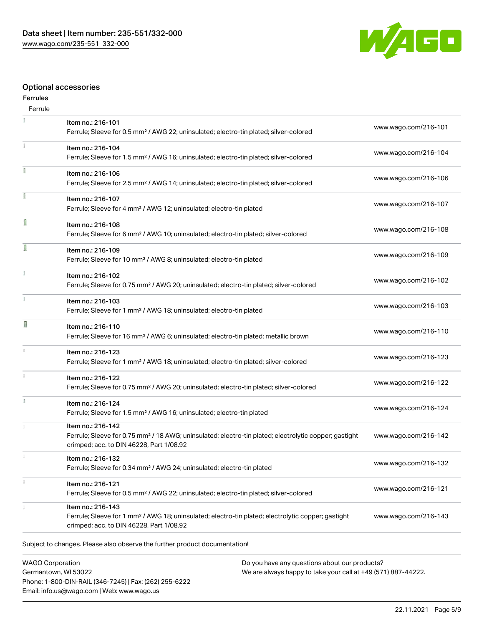

# Optional accessories

# Ferrules

| Ferrule       |                                                                                                                                                                                    |                      |
|---------------|------------------------------------------------------------------------------------------------------------------------------------------------------------------------------------|----------------------|
|               | Item no.: 216-101<br>Ferrule; Sleeve for 0.5 mm <sup>2</sup> / AWG 22; uninsulated; electro-tin plated; silver-colored                                                             | www.wago.com/216-101 |
| Ť.            | Item no.: 216-104<br>Ferrule; Sleeve for 1.5 mm <sup>2</sup> / AWG 16; uninsulated; electro-tin plated; silver-colored                                                             | www.wago.com/216-104 |
|               | Item no.: 216-106<br>Ferrule; Sleeve for 2.5 mm <sup>2</sup> / AWG 14; uninsulated; electro-tin plated; silver-colored                                                             | www.wago.com/216-106 |
|               | Item no.: 216-107<br>Ferrule; Sleeve for 4 mm <sup>2</sup> / AWG 12; uninsulated; electro-tin plated                                                                               | www.wago.com/216-107 |
| ſ             | Item no.: 216-108<br>Ferrule; Sleeve for 6 mm <sup>2</sup> / AWG 10; uninsulated; electro-tin plated; silver-colored                                                               | www.wago.com/216-108 |
| I             | Item no.: 216-109<br>Ferrule; Sleeve for 10 mm <sup>2</sup> / AWG 8; uninsulated; electro-tin plated                                                                               | www.wago.com/216-109 |
|               | Item no.: 216-102<br>Ferrule; Sleeve for 0.75 mm <sup>2</sup> / AWG 20; uninsulated; electro-tin plated; silver-colored                                                            | www.wago.com/216-102 |
|               | Item no.: 216-103<br>Ferrule; Sleeve for 1 mm <sup>2</sup> / AWG 18; uninsulated; electro-tin plated                                                                               | www.wago.com/216-103 |
| Ω             | Item no.: 216-110<br>Ferrule; Sleeve for 16 mm <sup>2</sup> / AWG 6; uninsulated; electro-tin plated; metallic brown                                                               | www.wago.com/216-110 |
| $\frac{1}{3}$ | Item no.: 216-123<br>Ferrule; Sleeve for 1 mm <sup>2</sup> / AWG 18; uninsulated; electro-tin plated; silver-colored                                                               | www.wago.com/216-123 |
|               | Item no.: 216-122<br>Ferrule; Sleeve for 0.75 mm <sup>2</sup> / AWG 20; uninsulated; electro-tin plated; silver-colored                                                            | www.wago.com/216-122 |
|               | Item no.: 216-124<br>Ferrule; Sleeve for 1.5 mm <sup>2</sup> / AWG 16; uninsulated; electro-tin plated                                                                             | www.wago.com/216-124 |
|               | Item no.: 216-142<br>Ferrule; Sleeve for 0.75 mm <sup>2</sup> / 18 AWG; uninsulated; electro-tin plated; electrolytic copper; gastight<br>crimped; acc. to DIN 46228, Part 1/08.92 | www.wago.com/216-142 |
|               | Item no.: 216-132<br>Ferrule; Sleeve for 0.34 mm <sup>2</sup> / AWG 24; uninsulated; electro-tin plated                                                                            | www.wago.com/216-132 |
|               | Item no.: 216-121<br>Ferrule; Sleeve for 0.5 mm <sup>2</sup> / AWG 22; uninsulated; electro-tin plated; silver-colored                                                             | www.wago.com/216-121 |
|               | Item no.: 216-143<br>Ferrule; Sleeve for 1 mm <sup>2</sup> / AWG 18; uninsulated; electro-tin plated; electrolytic copper; gastight<br>crimped; acc. to DIN 46228, Part 1/08.92    | www.wago.com/216-143 |
|               |                                                                                                                                                                                    |                      |

Subject to changes. Please also observe the further product documentation!

WAGO Corporation Germantown, WI 53022 Phone: 1-800-DIN-RAIL (346-7245) | Fax: (262) 255-6222 Email: info.us@wago.com | Web: www.wago.us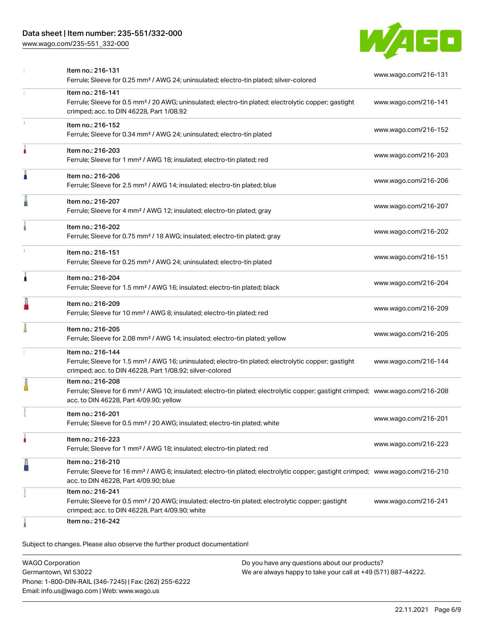# Data sheet | Item number: 235-551/332-000

[www.wago.com/235-551\\_332-000](http://www.wago.com/235-551_332-000)



|    | Item no.: 216-131<br>Ferrule; Sleeve for 0.25 mm <sup>2</sup> / AWG 24; uninsulated; electro-tin plated; silver-colored                                                                                    | www.wago.com/216-131 |
|----|------------------------------------------------------------------------------------------------------------------------------------------------------------------------------------------------------------|----------------------|
| 1  | Item no.: 216-141<br>Ferrule; Sleeve for 0.5 mm <sup>2</sup> / 20 AWG; uninsulated; electro-tin plated; electrolytic copper; gastight<br>crimped; acc. to DIN 46228, Part 1/08.92                          | www.wago.com/216-141 |
| t. | Item no.: 216-152<br>Ferrule; Sleeve for 0.34 mm <sup>2</sup> / AWG 24; uninsulated; electro-tin plated                                                                                                    | www.wago.com/216-152 |
| ۸  | Item no.: 216-203<br>Ferrule; Sleeve for 1 mm <sup>2</sup> / AWG 18; insulated; electro-tin plated; red                                                                                                    | www.wago.com/216-203 |
|    | Item no.: 216-206<br>Ferrule; Sleeve for 2.5 mm <sup>2</sup> / AWG 14; insulated; electro-tin plated; blue                                                                                                 | www.wago.com/216-206 |
| ı  | Item no.: 216-207<br>Ferrule; Sleeve for 4 mm <sup>2</sup> / AWG 12; insulated; electro-tin plated; gray                                                                                                   | www.wago.com/216-207 |
|    | Item no.: 216-202<br>Ferrule; Sleeve for 0.75 mm <sup>2</sup> / 18 AWG; insulated; electro-tin plated; gray                                                                                                | www.wago.com/216-202 |
|    | Item no.: 216-151<br>Ferrule; Sleeve for 0.25 mm <sup>2</sup> / AWG 24; uninsulated; electro-tin plated                                                                                                    | www.wago.com/216-151 |
| Â  | Item no.: 216-204<br>Ferrule; Sleeve for 1.5 mm <sup>2</sup> / AWG 16; insulated; electro-tin plated; black                                                                                                | www.wago.com/216-204 |
| I  | Item no.: 216-209<br>Ferrule; Sleeve for 10 mm <sup>2</sup> / AWG 8; insulated; electro-tin plated; red                                                                                                    | www.wago.com/216-209 |
|    | Item no.: 216-205<br>Ferrule; Sleeve for 2.08 mm <sup>2</sup> / AWG 14; insulated; electro-tin plated; yellow                                                                                              | www.wago.com/216-205 |
| 1  | Item no.: 216-144<br>Ferrule; Sleeve for 1.5 mm <sup>2</sup> / AWG 16; uninsulated; electro-tin plated; electrolytic copper; gastight<br>crimped; acc. to DIN 46228, Part 1/08.92; silver-colored          | www.wago.com/216-144 |
|    | Item no.: 216-208<br>Ferrule; Sleeve for 6 mm <sup>2</sup> / AWG 10; insulated; electro-tin plated; electrolytic copper; gastight crimped; www.wago.com/216-208<br>acc. to DIN 46228, Part 4/09.90; yellow |                      |
|    | Item no.: 216-201<br>Ferrule; Sleeve for 0.5 mm <sup>2</sup> / 20 AWG; insulated; electro-tin plated; white                                                                                                | www.wago.com/216-201 |
|    | Item no.: 216-223<br>Ferrule; Sleeve for 1 mm <sup>2</sup> / AWG 18; insulated; electro-tin plated; red                                                                                                    | www.wago.com/216-223 |
| L  | Item no.: 216-210<br>Ferrule; Sleeve for 16 mm <sup>2</sup> / AWG 6; insulated; electro-tin plated; electrolytic copper; gastight crimped; www.wago.com/216-210<br>acc. to DIN 46228, Part 4/09.90; blue   |                      |
|    | Item no.: 216-241<br>Ferrule; Sleeve for 0.5 mm <sup>2</sup> / 20 AWG; insulated; electro-tin plated; electrolytic copper; gastight<br>crimped; acc. to DIN 46228, Part 4/09.90; white                     | www.wago.com/216-241 |
|    | Item no.: 216-242                                                                                                                                                                                          |                      |

Subject to changes. Please also observe the further product documentation!

| <b>WAGO Corporation</b>                                | Do you have any questions about our products?                 |
|--------------------------------------------------------|---------------------------------------------------------------|
| Germantown, WI 53022                                   | We are always happy to take your call at +49 (571) 887-44222. |
| Phone: 1-800-DIN-RAIL (346-7245)   Fax: (262) 255-6222 |                                                               |
| Email: info.us@wago.com   Web: www.wago.us             |                                                               |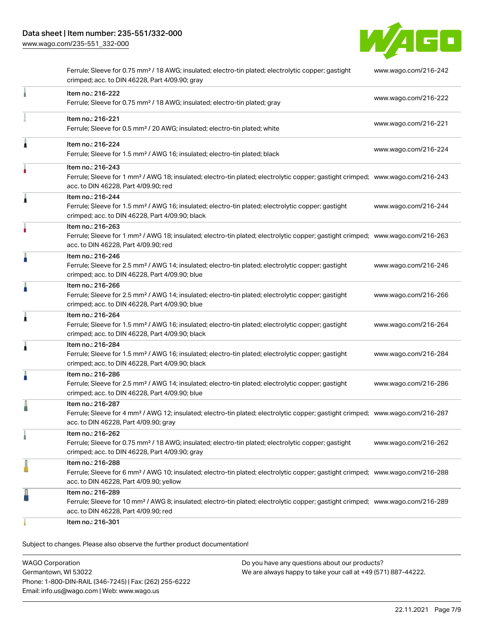[www.wago.com/235-551\\_332-000](http://www.wago.com/235-551_332-000)



| Ferrule; Sleeve for 0.75 mm <sup>2</sup> / 18 AWG; insulated; electro-tin plated; electrolytic copper; gastight<br>crimped; acc. to DIN 46228, Part 4/09.90; gray                                          | www.wago.com/216-242 |
|------------------------------------------------------------------------------------------------------------------------------------------------------------------------------------------------------------|----------------------|
| Item no.: 216-222<br>Ferrule; Sleeve for 0.75 mm <sup>2</sup> / 18 AWG; insulated; electro-tin plated; gray                                                                                                | www.wago.com/216-222 |
| Item no.: 216-221<br>Ferrule; Sleeve for 0.5 mm <sup>2</sup> / 20 AWG; insulated; electro-tin plated; white                                                                                                | www.wago.com/216-221 |
| Item no.: 216-224<br>Ferrule; Sleeve for 1.5 mm <sup>2</sup> / AWG 16; insulated; electro-tin plated; black                                                                                                | www.wago.com/216-224 |
| Item no.: 216-243<br>Ferrule; Sleeve for 1 mm <sup>2</sup> / AWG 18; insulated; electro-tin plated; electrolytic copper; gastight crimped; www.wago.com/216-243<br>acc. to DIN 46228, Part 4/09.90; red    |                      |
| Item no.: 216-244<br>Ferrule; Sleeve for 1.5 mm <sup>2</sup> / AWG 16; insulated; electro-tin plated; electrolytic copper; gastight<br>crimped; acc. to DIN 46228, Part 4/09.90; black                     | www.wago.com/216-244 |
| Item no.: 216-263<br>Ferrule; Sleeve for 1 mm <sup>2</sup> / AWG 18; insulated; electro-tin plated; electrolytic copper; gastight crimped; www.wago.com/216-263<br>acc. to DIN 46228, Part 4/09.90; red    |                      |
| Item no.: 216-246<br>Ferrule; Sleeve for 2.5 mm <sup>2</sup> / AWG 14; insulated; electro-tin plated; electrolytic copper; gastight<br>crimped; acc. to DIN 46228, Part 4/09.90; blue                      | www.wago.com/216-246 |
| Item no.: 216-266<br>Ferrule; Sleeve for 2.5 mm <sup>2</sup> / AWG 14; insulated; electro-tin plated; electrolytic copper; gastight<br>crimped; acc. to DIN 46228, Part 4/09.90; blue                      | www.wago.com/216-266 |
| Item no.: 216-264<br>Ferrule; Sleeve for 1.5 mm <sup>2</sup> / AWG 16; insulated; electro-tin plated; electrolytic copper; gastight<br>crimped; acc. to DIN 46228, Part 4/09.90; black                     | www.wago.com/216-264 |
| Item no.: 216-284<br>Ferrule; Sleeve for 1.5 mm <sup>2</sup> / AWG 16; insulated; electro-tin plated; electrolytic copper; gastight<br>crimped; acc. to DIN 46228, Part 4/09.90; black                     | www.wago.com/216-284 |
| Item no.: 216-286<br>Ferrule; Sleeve for 2.5 mm <sup>2</sup> / AWG 14; insulated; electro-tin plated; electrolytic copper; gastight<br>crimped; acc. to DIN 46228, Part 4/09.90; blue                      | www.wago.com/216-286 |
| Item no.: 216-287<br>Ferrule; Sleeve for 4 mm <sup>2</sup> / AWG 12; insulated; electro-tin plated; electrolytic copper; gastight crimped; www.wago.com/216-287<br>acc. to DIN 46228, Part 4/09.90; gray   |                      |
| Item no.: 216-262<br>Ferrule; Sleeve for 0.75 mm <sup>2</sup> / 18 AWG; insulated; electro-tin plated; electrolytic copper; gastight<br>crimped; acc. to DIN 46228, Part 4/09.90; gray                     | www.wago.com/216-262 |
| Item no.: 216-288<br>Ferrule; Sleeve for 6 mm <sup>2</sup> / AWG 10; insulated; electro-tin plated; electrolytic copper; gastight crimped; www.wago.com/216-288<br>acc. to DIN 46228, Part 4/09.90; yellow |                      |
| Item no.: 216-289<br>Ferrule; Sleeve for 10 mm <sup>2</sup> / AWG 8; insulated; electro-tin plated; electrolytic copper; gastight crimped; www.wago.com/216-289<br>acc. to DIN 46228, Part 4/09.90; red    |                      |
| Item no.: 216-301                                                                                                                                                                                          |                      |

Subject to changes. Please also observe the further product documentation!

WAGO Corporation Germantown, WI 53022 Phone: 1-800-DIN-RAIL (346-7245) | Fax: (262) 255-6222 Email: info.us@wago.com | Web: www.wago.us Do you have any questions about our products? We are always happy to take your call at +49 (571) 887-44222.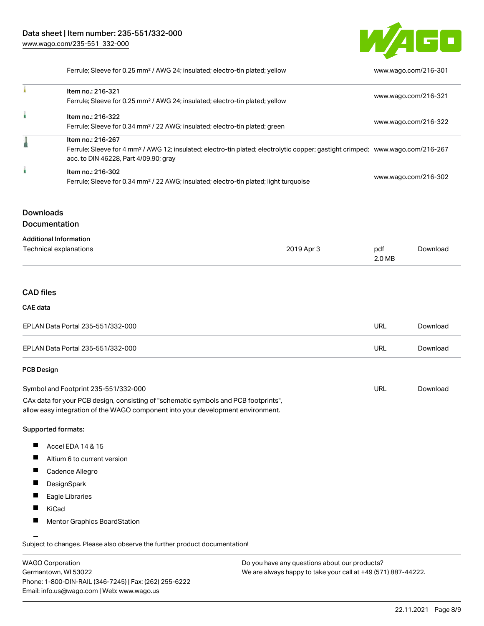

Ferrule; Sleeve for 0.25 mm² / AWG 24; insulated; electro-tin plated; yellow [www.wago.com/216-301](http://www.wago.com/216-301)

| Item no.: 216-321<br>Ferrule; Sleeve for 0.25 mm <sup>2</sup> / AWG 24; insulated; electro-tin plated; yellow                                                                                            | www.wago.com/216-321 |
|----------------------------------------------------------------------------------------------------------------------------------------------------------------------------------------------------------|----------------------|
| Item no.: 216-322<br>Ferrule; Sleeve for 0.34 mm <sup>2</sup> / 22 AWG; insulated; electro-tin plated; green                                                                                             | www.wago.com/216-322 |
| Item no.: 216-267<br>Ferrule; Sleeve for 4 mm <sup>2</sup> / AWG 12; insulated; electro-tin plated; electrolytic copper; gastight crimped; www.wago.com/216-267<br>acc. to DIN 46228, Part 4/09.90; gray |                      |
| Item no.: 216-302<br>Ferrule; Sleeve for 0.34 mm <sup>2</sup> / 22 AWG; insulated; electro-tin plated; light turquoise                                                                                   | www.wago.com/216-302 |

# **Downloads**

Documentation

| <b>Additional Information</b> |            |        |          |
|-------------------------------|------------|--------|----------|
| Technical explanations        | 2019 Apr 3 | pdf    | Download |
|                               |            | 2.0 MB |          |

# CAD files

#### CAE data

| EPLAN Data Portal 235-551/332-000 | URL | Download |
|-----------------------------------|-----|----------|
| EPLAN Data Portal 235-551/332-000 | URL | Download |

### PCB Design

| Symbol and Footprint 235-551/332-000                                                | URL | Download |
|-------------------------------------------------------------------------------------|-----|----------|
| CAx data for your PCB design, consisting of "schematic symbols and PCB footprints", |     |          |
| allow easy integration of the WAGO component into your development environment.     |     |          |

#### Supported formats:

- $\blacksquare$ Accel EDA 14 & 15
- $\blacksquare$ Altium 6 to current version
- $\blacksquare$ Cadence Allegro
- П DesignSpark
- $\blacksquare$ Eagle Libraries
- $\blacksquare$ KiCad
- $\blacksquare$ Mentor Graphics BoardStation

Subject to changes. Please also observe the further product documentation!

WAGO Corporation Germantown, WI 53022 Phone: 1-800-DIN-RAIL (346-7245) | Fax: (262) 255-6222 Email: info.us@wago.com | Web: www.wago.us